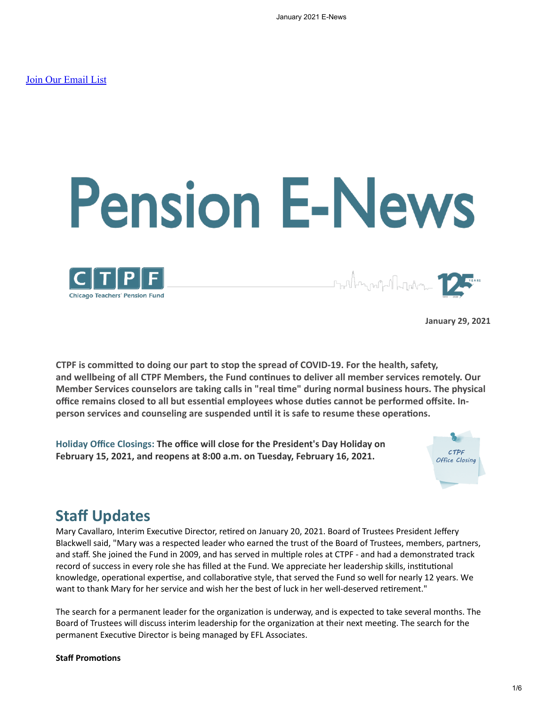# **Pension E-News**



**<sub>ᡗ᠇ᠬ</sub>ᢔ<sub>ᡘᡃᠬᢩᠾᡙ</mark>ᢇ᠓ᡙᡃᡃᠾ**ᢇ</sub>

**January 29, 2021**

**CTPF is committed to doing our part to stop the spread of COVID-19. For the health, safety, and wellbeing of all CTPF Members, the Fund continues to deliver all member services remotely. Our Member Services counselors are taking calls in "real time" during normal business hours. The physical office remains closed to all but essential employees whose duties cannot be performed offsite. Inperson services and counseling are suspended until it is safe to resume these operations.**

**Holiday Office Closings: The office will close for the President's Day Holiday on February 15, 2021, and reopens at 8:00 a.m. on Tuesday, February 16, 2021.**



## **Staff Updates**

Mary Cavallaro, Interim Executive Director, retired on January 20, 2021. Board of Trustees President Jeffery Blackwell said, "Mary was a respected leader who earned the trust of the Board of Trustees, members, partners, and staff. She joined the Fund in 2009, and has served in multiple roles at CTPF - and had a demonstrated track record of success in every role she has filled at the Fund. We appreciate her leadership skills, institutional knowledge, operational expertise, and collaborative style, that served the Fund so well for nearly 12 years. We want to thank Mary for her service and wish her the best of luck in her well-deserved retirement."

The search for a permanent leader for the organization is underway, and is expected to take several months. The Board of Trustees will discuss interim leadership for the organization at their next meeting. The search for the permanent Executive Director is being managed by EFL Associates.

## **Staff Promotions**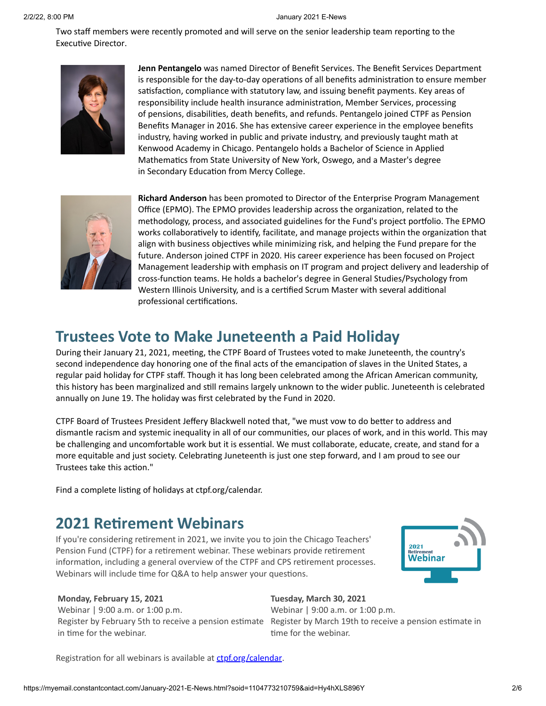Two staff members were recently promoted and will serve on the senior leadership team reporting to the Executive Director.



**Jenn Pentangelo** was named Director of Benefit Services. The Benefit Services Department is responsible for the day-to-day operations of all benefits administration to ensure member satisfaction, compliance with statutory law, and issuing benefit payments. Key areas of responsibility include health insurance administration, Member Services, processing of pensions, disabilities, death benefits, and refunds. Pentangelo joined CTPF as Pension Benefits Manager in 2016. She has extensive career experience in the employee benefits industry, having worked in public and private industry, and previously taught math at Kenwood Academy in Chicago. Pentangelo holds a Bachelor of Science in Applied Mathematics from State University of New York, Oswego, and a Master's degree in Secondary Education from Mercy College.



**Richard Anderson** has been promoted to Director of the Enterprise Program Management Office (EPMO). The EPMO provides leadership across the organization, related to the methodology, process, and associated guidelines for the Fund's project portfolio. The EPMO works collaboratively to identify, facilitate, and manage projects within the organization that align with business objectives while minimizing risk, and helping the Fund prepare for the future. Anderson joined CTPF in 2020. His career experience has been focused on Project Management leadership with emphasis on IT program and project delivery and leadership of cross-function teams. He holds a bachelor's degree in General Studies/Psychology from Western Illinois University, and is a certified Scrum Master with several additional professional certifications.

# **Trustees Vote to Make Juneteenth a Paid Holiday**

During their January 21, 2021, meeting, the CTPF Board of Trustees voted to make Juneteenth, the country's second independence day honoring one of the final acts of the emancipation of slaves in the United States, a regular paid holiday for CTPF staff. Though it has long been celebrated among the African American community, this history has been marginalized and still remains largely unknown to the wider public. Juneteenth is celebrated annually on June 19. The holiday was first celebrated by the Fund in 2020.

CTPF Board of Trustees President Jeffery Blackwell noted that, "we must vow to do better to address and dismantle racism and systemic inequality in all of our communities, our places of work, and in this world. This may be challenging and uncomfortable work but it is essential. We must collaborate, educate, create, and stand for a more equitable and just society. Celebrating Juneteenth is just one step forward, and I am proud to see our Trustees take this action."

Find a complete listing of holidays at ctpf.org/calendar.

## **2021 Retirement Webinars**

If you're considering retirement in 2021, we invite you to join the Chicago Teachers' Pension Fund (CTPF) for a retirement webinar. These webinars provide retirement information, including a general overview of the CTPF and CPS retirement processes. Webinars will include time for Q&A to help answer your questions.



## **Monday, February 15, 2021**

Webinar | 9:00 a.m. or 1:00 p.m. in time for the webinar.

**Tuesday, March 30, 2021**

Register by February 5th to receive a pension estimate Register by March 19th to receive a pension estimate in Webinar | 9:00 a.m. or 1:00 p.m. time for the webinar.

Registration for all webinars is available at [ctpf.org/calendar.](http://ctpf.org/calendar)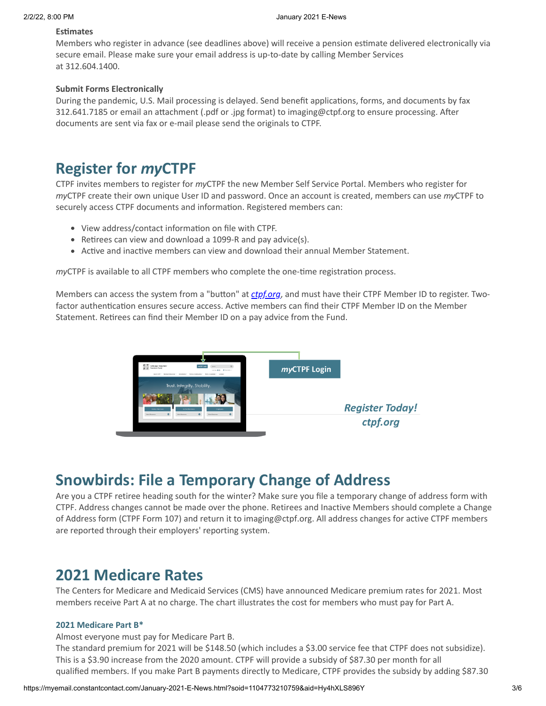## **Estimates**

Members who register in advance (see deadlines above) will receive a pension estimate delivered electronically via secure email. Please make sure your email address is up-to-date by calling Member Services at 312.604.1400.

## **Submit Forms Electronically**

During the pandemic, U.S. Mail processing is delayed. Send benefit applications, forms, and documents by fax 312.641.7185 or email an attachment (.pdf or .jpg format) to imaging@ctpf.org to ensure processing. After documents are sent via fax or e-mail please send the originals to CTPF.

# **Register for** *my***CTPF**

CTPF invites members to register for *my*CTPF the new Member Self Service Portal. Members who register for *my*CTPF create their own unique User ID and password. Once an account is created, members can use *my*CTPF to securely access CTPF documents and information. Registered members can:

- View address/contact information on file with CTPF.
- Retirees can view and download a 1099-R and pay advice(s).
- Active and inactive members can view and download their annual Member Statement.

*my*CTPF is available to all CTPF members who complete the one-time registration process.

Members can access the system from a "button" at *[ctpf.org](http://www.ctpf.org/)*, and must have their CTPF Member ID to register. Twofactor authentication ensures secure access. Active members can find their CTPF Member ID on the Member Statement. Retirees can find their Member ID on a pay advice from the Fund.



# **Snowbirds: File a Temporary Change of Address**

Are you a CTPF retiree heading south for the winter? Make sure you file a temporary change of address form with CTPF. Address changes cannot be made over the phone. Retirees and Inactive Members should complete a Change of Address form (CTPF Form 107) and return it to imaging@ctpf.org. All address changes for active CTPF members are reported through their employers' reporting system.

## **2021 Medicare Rates**

The Centers for Medicare and Medicaid Services (CMS) have announced Medicare premium rates for 2021. Most members receive Part A at no charge. The chart illustrates the cost for members who must pay for Part A.

## **2021 Medicare Part B\***

Almost everyone must pay for Medicare Part B.

The standard premium for 2021 will be \$148.50 (which includes a \$3.00 service fee that CTPF does not subsidize). This is a \$3.90 increase from the 2020 amount. CTPF will provide a subsidy of \$87.30 per month for all qualified members. If you make Part B payments directly to Medicare, CTPF provides the subsidy by adding \$87.30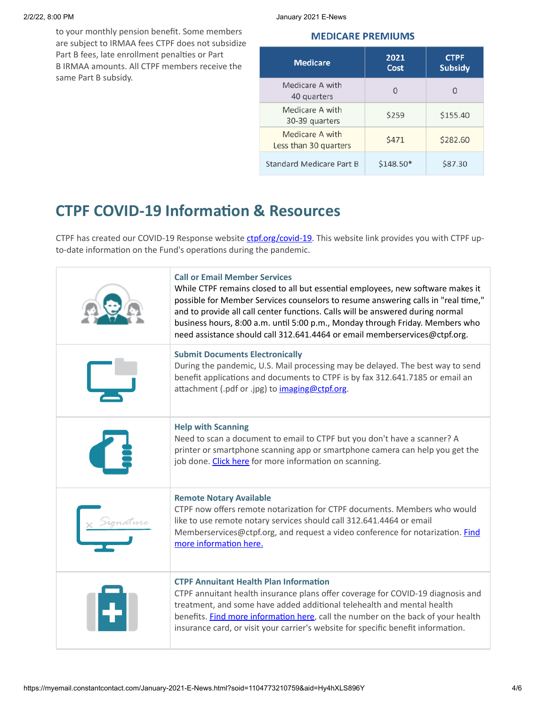to your monthly pension benefit. Some members are subject to IRMAA fees CTPF does not subsidize Part B fees, late enrollment penalties or Part B IRMAA amounts. All CTPF members receive the same Part B subsidy.

2/2/22, 8:00 PM January 2021 E-News

## **MEDICARE PREMIUMS**

| <b>Medicare</b>                          | 2021<br>Cost | <b>CTPF</b><br><b>Subsidy</b> |
|------------------------------------------|--------------|-------------------------------|
| Medicare A with<br>40 quarters           | 0            | U                             |
| Medicare A with<br>30-39 quarters        | \$259        | \$155.40                      |
| Medicare A with<br>Less than 30 quarters | <b>\$471</b> | \$282.60                      |
| Standard Medicare Part B                 | \$148.50*    | \$87.30                       |

# **CTPF COVID-19 Information & Resources**

CTPF has created our COVID-19 Response website [ctpf.org/covid-19.](http://ctpf.org/covid-19) This website link provides you with CTPF upto-date information on the Fund's operations during the pandemic.

|  | <b>Call or Email Member Services</b><br>While CTPF remains closed to all but essential employees, new software makes it<br>possible for Member Services counselors to resume answering calls in "real time,"<br>and to provide all call center functions. Calls will be answered during normal<br>business hours, 8:00 a.m. until 5:00 p.m., Monday through Friday. Members who<br>need assistance should call 312.641.4464 or email memberservices@ctpf.org. |
|--|---------------------------------------------------------------------------------------------------------------------------------------------------------------------------------------------------------------------------------------------------------------------------------------------------------------------------------------------------------------------------------------------------------------------------------------------------------------|
|  | <b>Submit Documents Electronically</b><br>During the pandemic, U.S. Mail processing may be delayed. The best way to send<br>benefit applications and documents to CTPF is by fax 312.641.7185 or email an<br>attachment (.pdf or .jpg) to imaging@ctpf.org.                                                                                                                                                                                                   |
|  | <b>Help with Scanning</b><br>Need to scan a document to email to CTPF but you don't have a scanner? A<br>printer or smartphone scanning app or smartphone camera can help you get the<br>job done. Click here for more information on scanning.                                                                                                                                                                                                               |
|  | <b>Remote Notary Available</b><br>CTPF now offers remote notarization for CTPF documents. Members who would<br>like to use remote notary services should call 312.641.4464 or email<br>Memberservices@ctpf.org, and request a video conference for notarization. Find<br>more information here.                                                                                                                                                               |
|  | <b>CTPF Annuitant Health Plan Information</b><br>CTPF annuitant health insurance plans offer coverage for COVID-19 diagnosis and<br>treatment, and some have added additional telehealth and mental health<br>benefits. Find more information here, call the number on the back of your health<br>insurance card, or visit your carrier's website for specific benefit information.                                                                           |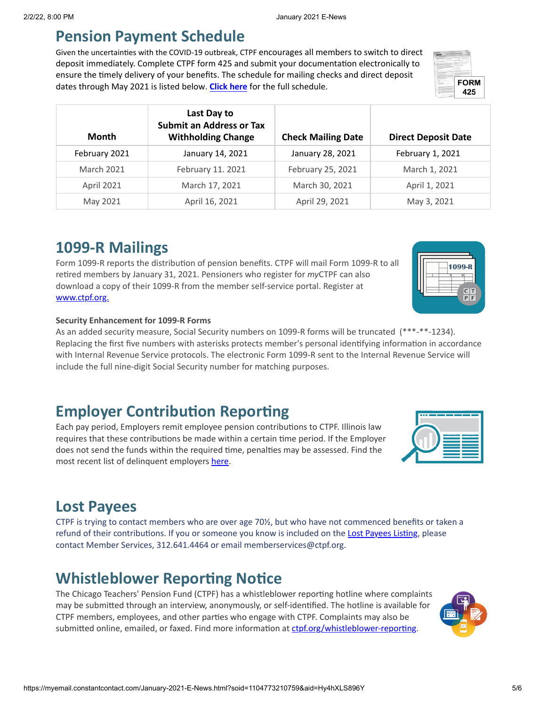## **Pension Payment Schedule**

Given the uncertainties with the COVID-19 outbreak, CTPF encourages all members to switch to direct deposit immediately. Complete CTPF form 425 and submit your documentation electronically to ensure the timely delivery of your benefits. The schedule for mailing checks and direct deposit dates through May 2021 is listed below. Click here for the full schedule.

| , an ough may zozy is noted below. <b>Chen here</b> for the ran sencation<br>425 |                                                                             |                           |                            |  |  |
|----------------------------------------------------------------------------------|-----------------------------------------------------------------------------|---------------------------|----------------------------|--|--|
| Month                                                                            | Last Day to<br><b>Submit an Address or Tax</b><br><b>Withholding Change</b> | <b>Check Mailing Date</b> | <b>Direct Deposit Date</b> |  |  |
| February 2021                                                                    | January 14, 2021                                                            | January 28, 2021          | February 1, 2021           |  |  |
| <b>March 2021</b>                                                                | February 11. 2021                                                           | February 25, 2021         | March 1, 2021              |  |  |
| April 2021                                                                       | March 17, 2021                                                              | March 30, 2021            | April 1, 2021              |  |  |

# **1099-R Mailings**

Form 1099-R reports the distribution of pension benefits. CTPF will mail Form 1099-R to all retired members by January 31, 2021. Pensioners who register for *my*CTPF can also download a copy of their 1099-R from the member self-service portal. Register at [www.ctpf.org.](http://www.ctpf.org./)

## **Security Enhancement for 1099-R Forms**

As an added security measure, Social Security numbers on 1099-R forms will be truncated (\*\*\*-\*\*-1234). Replacing the first five numbers with asterisks protects member's personal identifying information in accordance with Internal Revenue Service protocols. The electronic Form 1099-R sent to the Internal Revenue Service will include the full nine-digit Social Security number for matching purposes.

May 2021 April 16, 2021 April 29, 2021 May 3, 2021

# **Employer Contribution Reporting**

Each pay period, Employers remit employee pension contributions to CTPF. Illinois law requires that these contributions be made within a certain time period. If the Employer does not send the funds within the required time, penalties may be assessed. Find the most recent list of delinquent employers [here](http://ctpf.org/employer-contribution-reporting).

# **Lost Payees**

CTPF is trying to contact members who are over age 70½, but who have not commenced benefits or taken a refund of their contributions. If you or someone you know is included on the [Lost Payees Listing](https://www.ctpf.org/sites/files/2020-10/lost_payees_last_school_worked_website_list_2.pdf), please contact Member Services, 312.641.4464 or email memberservices@ctpf.org.

# **Whistleblower Reporting Notice**

The Chicago Teachers' Pension Fund (CTPF) has a whistleblower reporting hotline where complaints may be submitted through an interview, anonymously, or self-identified. The hotline is available for CTPF members, employees, and other parties who engage with CTPF. Complaints may also be submitted online, emailed, or faxed. Find more information at [ctpf.org/whistleblower-reporting](http://ctpf.org/whistleblower-reporting).





**FORM**